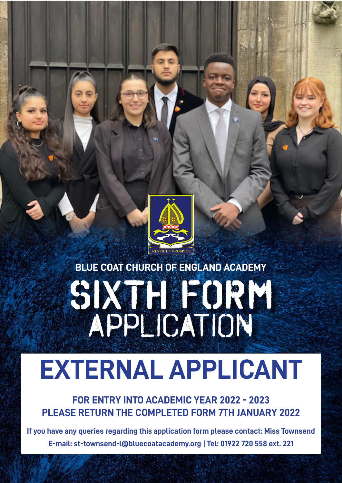

## **SIXTH FORM** application **BLUE COAT CHURCH OF ENGLAND ACADEMY**

# **EXTERNAL APPLICANT**

**FOR ENTRY INTO ACADEMIC YEAR 2022 - 2023 PLEASE RETURN THE COMPLETED FORM 7TH JANUARY 2022**

**If you have any queries regarding this application form please contact: Miss Townsend E-mail: st-townsend-l@bluecoatacademy.org | Tel: 01922 720 558 ext. 221**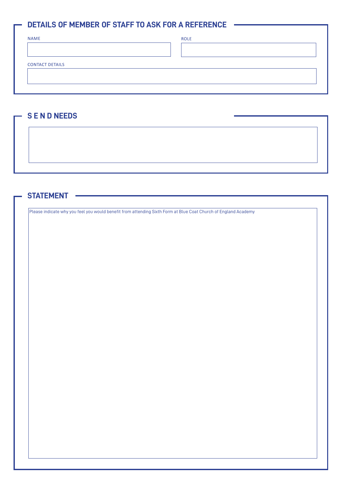### **DETAILS OF MEMBER OF STAFF TO ASK FOR A REFERENCE**

ROLE

CONTACT DETAILS

### **S E N D NEEDS**

### **STATEMENT**

Please indicate why you feel you would benefit from attending Sixth Form at Blue Coat Church of England Academy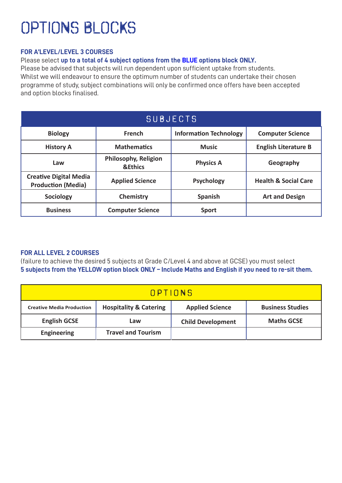### optionS BLOCKS

### **FOR A'LEVEL/LEVEL 3 COURSES**

Please select **up to a total of 4 subject options from the BLUE options block ONLY.** 

Please be advised that subjects will run dependent upon sufficient uptake from students. Whilst we will endeavour to ensure the optimum number of students can undertake their chosen programme of study, subject combinations will only be confirmed once offers have been accepted and option blocks finalised.

| SUBJECTS                                                   |                                                   |                               |                                 |  |
|------------------------------------------------------------|---------------------------------------------------|-------------------------------|---------------------------------|--|
| <b>Biology</b>                                             | <b>French</b>                                     | <b>Information Technology</b> | <b>Computer Science</b>         |  |
| <b>History A</b>                                           | <b>Mathematics</b>                                | <b>Music</b>                  | <b>English Literature B</b>     |  |
| Law                                                        | <b>Philosophy, Religion</b><br><b>&amp;Ethics</b> | <b>Physics A</b>              | Geography                       |  |
| <b>Creative Digital Media</b><br><b>Production (Media)</b> | <b>Applied Science</b>                            | <b>Psychology</b>             | <b>Health &amp; Social Care</b> |  |
| <b>Sociology</b>                                           | Chemistry                                         | <b>Spanish</b>                | <b>Art and Design</b>           |  |
| <b>Business</b>                                            | <b>Computer Science</b>                           | <b>Sport</b>                  |                                 |  |

#### **FOR ALL LEVEL 2 COURSES**

(failure to achieve the desired 5 subjects at Grade C/Level 4 and above at GCSE) you must select **5 subjects from the YELLOW option block ONLY – Include Maths and English if you need to re-sit them.** 

| OPTIONS                          |                                   |                          |                         |  |
|----------------------------------|-----------------------------------|--------------------------|-------------------------|--|
| <b>Creative Media Production</b> | <b>Hospitality &amp; Catering</b> | <b>Applied Science</b>   | <b>Business Studies</b> |  |
| <b>English GCSE</b>              | Law                               | <b>Child Development</b> | <b>Maths GCSE</b>       |  |
| <b>Engineering</b>               | <b>Travel and Tourism</b>         |                          |                         |  |